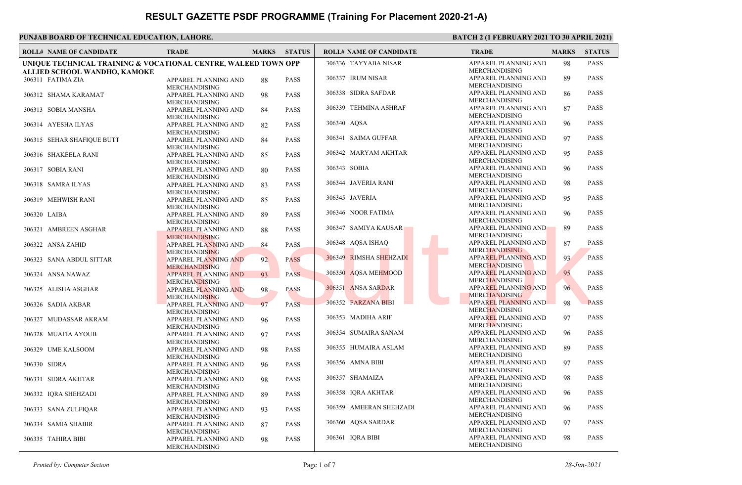| <b>ROLL# NAME OF CANDIDATE</b>                                 | <b>TRADE</b>                                        | <b>MARKS</b> | <b>STATUS</b> | <b>ROLL# NAME OF CANDIDATE</b> | <b>TRADE</b>                                        | <b>MARKS</b> | <b>STATUS</b> |
|----------------------------------------------------------------|-----------------------------------------------------|--------------|---------------|--------------------------------|-----------------------------------------------------|--------------|---------------|
| UNIQUE TECHNICAL TRAINING & VOCATIONAL CENTRE, WALEED TOWN OPP |                                                     |              |               | 306336 TAYYABA NISAR           | APPAREL PLANNING AND<br>MERCHANDISING               | 98           | <b>PASS</b>   |
| ALLIED SCHOOL WANDHO, KAMOKE<br>306311 FATIMA ZIA              | APPAREL PLANNING AND<br><b>MERCHANDISING</b>        | 88           | <b>PASS</b>   | 306337 IRUM NISAR              | APPAREL PLANNING AND<br><b>MERCHANDISING</b>        | 89           | <b>PASS</b>   |
| 306312 SHAMA KARAMAT                                           | APPAREL PLANNING AND<br><b>MERCHANDISING</b>        | 98           | <b>PASS</b>   | 306338 SIDRA SAFDAR            | APPAREL PLANNING AND<br><b>MERCHANDISING</b>        | 86           | <b>PASS</b>   |
| 306313 SOBIA MANSHA                                            | APPAREL PLANNING AND<br><b>MERCHANDISING</b>        | 84           | <b>PASS</b>   | 306339 TEHMINA ASHRAF          | APPAREL PLANNING AND<br><b>MERCHANDISING</b>        | 87           | <b>PASS</b>   |
| 306314 AYESHA ILYAS                                            | APPAREL PLANNING AND<br><b>MERCHANDISING</b>        | 82           | <b>PASS</b>   | 306340 AQSA                    | APPAREL PLANNING AND<br><b>MERCHANDISING</b>        | 96           | <b>PASS</b>   |
| 306315 SEHAR SHAFIQUE BUTT                                     | APPAREL PLANNING AND<br><b>MERCHANDISING</b>        | 84           | <b>PASS</b>   | 306341 SAIMA GUFFAR            | APPAREL PLANNING AND<br><b>MERCHANDISING</b>        | 97           | <b>PASS</b>   |
| 306316 SHAKEELA RANI                                           | APPAREL PLANNING AND<br><b>MERCHANDISING</b>        | 85           | <b>PASS</b>   | 306342 MARYAM AKHTAR           | APPAREL PLANNING AND<br><b>MERCHANDISING</b>        | 95           | <b>PASS</b>   |
| 306317 SOBIA RANI                                              | APPAREL PLANNING AND<br><b>MERCHANDISING</b>        | 80           | <b>PASS</b>   | 306343 SOBIA                   | APPAREL PLANNING AND<br><b>MERCHANDISING</b>        | 96           | <b>PASS</b>   |
| 306318 SAMRA ILYAS                                             | APPAREL PLANNING AND<br><b>MERCHANDISING</b>        | 83           | <b>PASS</b>   | 306344 JAVERIA RANI            | APPAREL PLANNING AND<br><b>MERCHANDISING</b>        | 98           | <b>PASS</b>   |
| 306319 MEHWISH RANI                                            | APPAREL PLANNING AND<br><b>MERCHANDISING</b>        | 85           | <b>PASS</b>   | 306345 JAVERIA                 | APPAREL PLANNING AND<br><b>MERCHANDISING</b>        | 95           | <b>PASS</b>   |
| 306320 LAIBA                                                   | APPAREL PLANNING AND<br><b>MERCHANDISING</b>        | 89           | <b>PASS</b>   | 306346 NOOR FATIMA             | APPAREL PLANNING AND<br><b>MERCHANDISING</b>        | 96           | <b>PASS</b>   |
| 306321 AMBREEN ASGHAR                                          | <b>APPAREL PLANNING AND</b><br><b>MERCHANDISING</b> | 88           | <b>PASS</b>   | 306347 SAMIYA KAUSAR           | APPAREL PLANNING AND<br><b>MERCHANDISING</b>        | 89           | <b>PASS</b>   |
| 306322 ANSA ZAHID                                              | <b>APPAREL PLANNING AND</b><br><b>MERCHANDISING</b> | 84           | <b>PASS</b>   | 306348 AQSA ISHAQ              | APPAREL PLANNING AND<br><b>MERCHANDISING</b>        | 87           | <b>PASS</b>   |
| 306323 SANA ABDUL SITTAR                                       | <b>APPAREL PLANNING AND</b><br><b>MERCHANDISING</b> | 92           | <b>PASS</b>   | 306349 RIMSHA SHEHZADI         | <b>APPAREL PLANNING AND</b><br><b>MERCHANDISING</b> | 93           | <b>PASS</b>   |
| 306324 ANSA NAWAZ                                              | <b>APPAREL PLANNING AND</b><br><b>MERCHANDISING</b> | 93           | <b>PASS</b>   | 306350 AQSA MEHMOOD            | <b>APPAREL PLANNING AND</b><br><b>MERCHANDISING</b> | 95           | <b>PASS</b>   |
| 306325 ALISHA ASGHAR                                           | <b>APPAREL PLANNING AND</b><br><b>MERCHANDISING</b> | 98           | <b>PASS</b>   | 306351 ANSA SARDAR             | <b>APPAREL PLANNING AND</b><br><b>MERCHANDISING</b> | 96           | <b>PASS</b>   |
| 306326 SADIA AKBAR                                             | <b>APPAREL PLANNING AND</b><br><b>MERCHANDISING</b> | 97           | <b>PASS</b>   | 306352 FARZANA BIBI            | <b>APPAREL PLANNING AND</b><br><b>MERCHANDISING</b> | 98           | <b>PASS</b>   |
| 306327 MUDASSAR AKRAM                                          | APPAREL PLANNING AND<br><b>MERCHANDISING</b>        | 96           | <b>PASS</b>   | 306353 MADIHA ARIF             | <b>APPAREL PLANNING AND</b><br><b>MERCHANDISING</b> | 97           | <b>PASS</b>   |
| 306328 MUAFIA AYOUB                                            | APPAREL PLANNING AND<br><b>MERCHANDISING</b>        | 97           | <b>PASS</b>   | 306354 SUMAIRA SANAM           | APPAREL PLANNING AND<br><b>MERCHANDISING</b>        | 96           | <b>PASS</b>   |
| 306329 UME KALSOOM                                             | APPAREL PLANNING AND<br><b>MERCHANDISING</b>        | 98           | <b>PASS</b>   | 306355 HUMAIRA ASLAM           | APPAREL PLANNING AND<br><b>MERCHANDISING</b>        | 89           | <b>PASS</b>   |
| 306330 SIDRA                                                   | APPAREL PLANNING AND<br><b>MERCHANDISING</b>        | 96           | <b>PASS</b>   | 306356 AMNA BIBI               | APPAREL PLANNING AND<br><b>MERCHANDISING</b>        | 97           | <b>PASS</b>   |
| 306331 SIDRA AKHTAR                                            | APPAREL PLANNING AND<br><b>MERCHANDISING</b>        | 98           | <b>PASS</b>   | 306357 SHAMAIZA                | APPAREL PLANNING AND<br><b>MERCHANDISING</b>        | 98           | <b>PASS</b>   |
| 306332 IQRA SHEHZADI                                           | APPAREL PLANNING AND<br><b>MERCHANDISING</b>        | 89           | <b>PASS</b>   | 306358 IQRA AKHTAR             | APPAREL PLANNING AND<br><b>MERCHANDISING</b>        | 96           | <b>PASS</b>   |
| 306333 SANA ZULFIQAR                                           | APPAREL PLANNING AND<br><b>MERCHANDISING</b>        | 93           | <b>PASS</b>   | 306359 AMEERAN SHEHZADI        | APPAREL PLANNING AND<br><b>MERCHANDISING</b>        | 96           | <b>PASS</b>   |
| 306334 SAMIA SHABIR                                            | APPAREL PLANNING AND<br><b>MERCHANDISING</b>        | 87           | <b>PASS</b>   | 306360 AQSA SARDAR             | APPAREL PLANNING AND<br><b>MERCHANDISING</b>        | 97           | <b>PASS</b>   |
| 306335 TAHIRA BIBI                                             | APPAREL PLANNING AND<br><b>MERCHANDISING</b>        | 98           | <b>PASS</b>   | 306361 IQRA BIBI               | APPAREL PLANNING AND<br><b>MERCHANDISING</b>        | 98           | <b>PASS</b>   |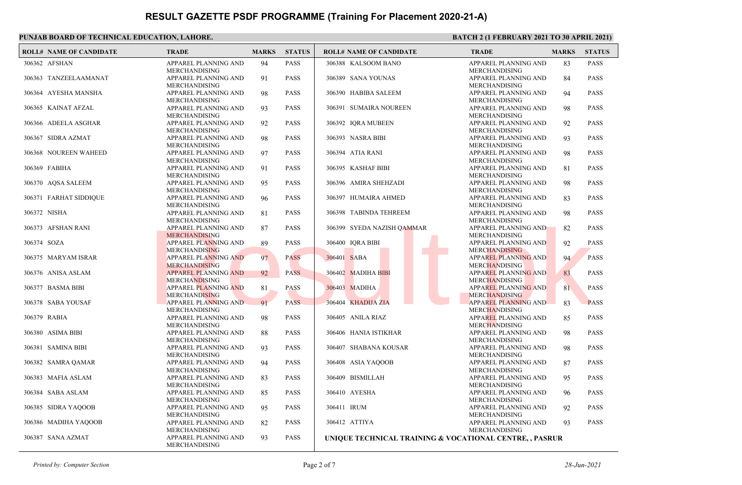|             | <b>ROLL# NAME OF CANDIDATE</b> | <b>TRADE</b>                                                         | <b>MARKS</b> | <b>STATUS</b> | <b>ROLL# NAME OF CANDIDATE</b>                          | <b>TRADE</b>                                                         | <b>MARKS</b> | <b>STATUS</b> |
|-------------|--------------------------------|----------------------------------------------------------------------|--------------|---------------|---------------------------------------------------------|----------------------------------------------------------------------|--------------|---------------|
|             | 306362 AFSHAN                  | APPAREL PLANNING AND<br><b>MERCHANDISING</b>                         | 94           | <b>PASS</b>   | 306388 KALSOOM BANO                                     | APPAREL PLANNING AND<br><b>MERCHANDISING</b>                         | 83           | <b>PASS</b>   |
|             | 306363 TANZEELAAMANAT          | APPAREL PLANNING AND<br><b>MERCHANDISING</b>                         | 91           | <b>PASS</b>   | 306389 SANA YOUNAS                                      | APPAREL PLANNING AND<br><b>MERCHANDISING</b>                         | 84           | <b>PASS</b>   |
|             | 306364 AYESHA MANSHA           | APPAREL PLANNING AND<br><b>MERCHANDISING</b>                         | 98           | <b>PASS</b>   | 306390 HABIBA SALEEM                                    | APPAREL PLANNING AND<br><b>MERCHANDISING</b>                         | 94           | <b>PASS</b>   |
|             | 306365 KAINAT AFZAL            | APPAREL PLANNING AND<br>MERCHANDISING                                | 93           | <b>PASS</b>   | 306391 SUMAIRA NOUREEN                                  | APPAREL PLANNING AND<br><b>MERCHANDISING</b>                         | 98           | <b>PASS</b>   |
|             | 306366 ADEELA ASGHAR           | APPAREL PLANNING AND                                                 | 92           | <b>PASS</b>   | 306392 IQRA MUBEEN                                      | APPAREL PLANNING AND<br>MERCHANDISING                                | 92           | <b>PASS</b>   |
|             | 306367 SIDRA AZMAT             | <b>MERCHANDISING</b><br>APPAREL PLANNING AND                         | 98           | <b>PASS</b>   | 306393 NASRA BIBI                                       | APPAREL PLANNING AND                                                 | 93           | <b>PASS</b>   |
|             | 306368 NOUREEN WAHEED          | <b>MERCHANDISING</b><br>APPAREL PLANNING AND                         | 97           | <b>PASS</b>   | 306394 ATIA RANI                                        | <b>MERCHANDISING</b><br>APPAREL PLANNING AND                         | 98           | <b>PASS</b>   |
|             | 306369 FABIHA                  | <b>MERCHANDISING</b><br>APPAREL PLANNING AND                         | 91           | <b>PASS</b>   | 306395 KASHAF BIBI                                      | <b>MERCHANDISING</b><br>APPAREL PLANNING AND                         | 81           | <b>PASS</b>   |
|             | 306370 AQSA SALEEM             | <b>MERCHANDISING</b><br>APPAREL PLANNING AND                         | 95           | <b>PASS</b>   | 306396 AMIRA SHEHZADI                                   | <b>MERCHANDISING</b><br>APPAREL PLANNING AND                         | 98           | <b>PASS</b>   |
|             | 306371 FARHAT SIDDIQUE         | <b>MERCHANDISING</b><br>APPAREL PLANNING AND                         | 96           | <b>PASS</b>   | 306397 HUMAIRA AHMED                                    | <b>MERCHANDISING</b><br>APPAREL PLANNING AND                         | 83           | <b>PASS</b>   |
|             | 306372 NISHA                   | <b>MERCHANDISING</b><br>APPAREL PLANNING AND                         | 81           | <b>PASS</b>   | 306398 TABINDA TEHREEM                                  | <b>MERCHANDISING</b><br>APPAREL PLANNING AND<br><b>MERCHANDISING</b> | 98           | <b>PASS</b>   |
|             | 306373 AFSHAN RANI             | <b>MERCHANDISING</b><br><b>APPAREL PLANNING AND</b>                  | 87           | <b>PASS</b>   | 306399 SYEDA NAZISH QAMMAR                              | <b>APPAREL PLANNING AND</b>                                          | 82           | <b>PASS</b>   |
| 306374 SOZA |                                | <b>MERCHANDISING</b><br><b>APPAREL PLANNING AND</b>                  | 89           | <b>PASS</b>   | 306400 IQRA BIBI                                        | <b>MERCHANDISING</b><br>APPAREL PLANNING AND                         | 92           | <b>PASS</b>   |
|             | 306375 MARYAM ISRAR            | <b>MERCHANDISING</b><br>APPAREL PLANNING AND                         | 97           | <b>PASS</b>   | 306401 SABA                                             | <b>MERCHANDISING</b><br><b>APPAREL PLANNING AND</b>                  | 94           | <b>PASS</b>   |
|             | 306376 ANISA ASLAM             | <b>MERCHANDISING</b><br><b>APPAREL PLANNING AND</b>                  | 92           | <b>PASS</b>   | 306402 MADIHA BIBI                                      | <b>MERCHANDISING</b><br><b>APPAREL PLANNING AND</b>                  | 83           | <b>PASS</b>   |
|             | 306377 BASMA BIBI              | <b>MERCHANDISING</b><br><b>APPAREL PLANNING AND</b>                  | 81           | <b>PASS</b>   | 306403 MADIHA                                           | <b>MERCHANDISING</b><br><b>APPAREL PLANNING AND</b>                  | 81           | <b>PASS</b>   |
|             | 306378 SABA YOUSAF             | <b>MERCHANDISING</b><br>APPAREL PLANNING AND                         | 91           | <b>PASS</b>   | 306404 KHADIJA ZIA                                      | <b>MERCHANDISING</b><br><b>APPAREL PLANNING AND</b>                  | 83           | <b>PASS</b>   |
|             | 306379 RABIA                   | <b>MERCHANDISING</b><br>APPAREL PLANNING AND                         | 98           | <b>PASS</b>   | 306405 ANILA RIAZ                                       | <b>MERCHANDISING</b><br><b>APPAREL PLANNING AND</b>                  | 85           | <b>PASS</b>   |
|             | 306380 ASIMA BIBI              | <b>MERCHANDISING</b><br>APPAREL PLANNING AND                         | 88           | <b>PASS</b>   | 306406 HANIA ISTIKHAR                                   | <b>MERCHANDISING</b><br>APPAREL PLANNING AND                         | 98           | <b>PASS</b>   |
|             | 306381 SAMINA BIBI             | <b>MERCHANDISING</b><br>APPAREL PLANNING AND                         | 93           | <b>PASS</b>   | 306407 SHABANA KOUSAR                                   | <b>MERCHANDISING</b><br>APPAREL PLANNING AND                         | 98           | <b>PASS</b>   |
|             | 306382 SAMRA QAMAR             | <b>MERCHANDISING</b><br>APPAREL PLANNING AND                         | 94           | <b>PASS</b>   | 306408 ASIA YAQOOB                                      | <b>MERCHANDISING</b><br>APPAREL PLANNING AND                         | 87           | <b>PASS</b>   |
|             | 306383 MAFIA ASLAM             | <b>MERCHANDISING</b><br>APPAREL PLANNING AND                         | 83           | <b>PASS</b>   | 306409 BISMILLAH                                        | <b>MERCHANDISING</b><br>APPAREL PLANNING AND                         | 95           | <b>PASS</b>   |
|             | 306384 SABA ASLAM              | <b>MERCHANDISING</b><br>APPAREL PLANNING AND                         | 85           | <b>PASS</b>   | 306410 AYESHA                                           | <b>MERCHANDISING</b><br>APPAREL PLANNING AND                         | 96           | <b>PASS</b>   |
|             | 306385 SIDRA YAQOOB            | <b>MERCHANDISING</b><br>APPAREL PLANNING AND                         | 95           | <b>PASS</b>   | 306411 IRUM                                             | <b>MERCHANDISING</b><br>APPAREL PLANNING AND                         | 92           | <b>PASS</b>   |
|             | 306386 MADIHA YAQOOB           | <b>MERCHANDISING</b><br>APPAREL PLANNING AND                         | 82           | <b>PASS</b>   | 306412 ATTIYA                                           | <b>MERCHANDISING</b><br>APPAREL PLANNING AND                         | 93           | PASS          |
|             | 306387 SANA AZMAT              | <b>MERCHANDISING</b><br>APPAREL PLANNING AND<br><b>MERCHANDISING</b> | 93           | <b>PASS</b>   | UNIQUE TECHNICAL TRAINING & VOCATIONAL CENTRE, , PASRUR | <b>MERCHANDISING</b>                                                 |              |               |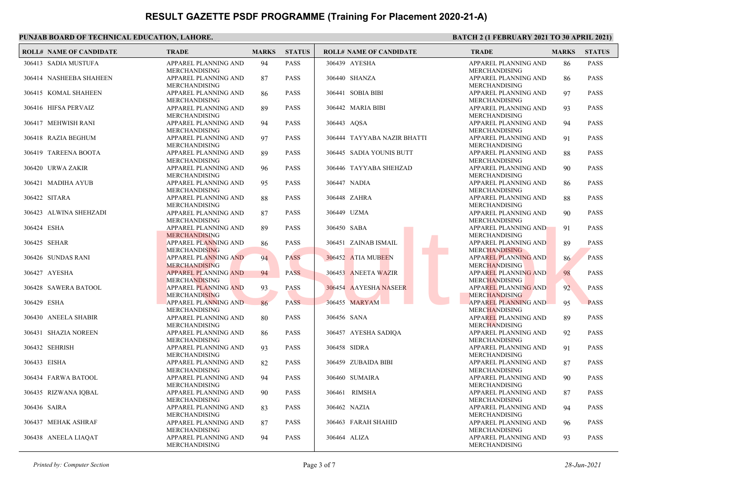|              | <b>ROLL# NAME OF CANDIDATE</b> | <b>TRADE</b>                                        | <b>MARKS</b> | <b>STATUS</b> | <b>ROLL# NAME OF CANDIDATE</b> | <b>TRADE</b>                                        | <b>MARKS</b> | <b>STATUS</b> |
|--------------|--------------------------------|-----------------------------------------------------|--------------|---------------|--------------------------------|-----------------------------------------------------|--------------|---------------|
|              | 306413 SADIA MUSTUFA           | APPAREL PLANNING AND<br><b>MERCHANDISING</b>        | 94           | <b>PASS</b>   | 306439 AYESHA                  | APPAREL PLANNING AND<br><b>MERCHANDISING</b>        | 86           | <b>PASS</b>   |
|              | 306414 NASHEEBA SHAHEEN        | APPAREL PLANNING AND<br><b>MERCHANDISING</b>        | 87           | <b>PASS</b>   | 306440 SHANZA                  | APPAREL PLANNING AND<br><b>MERCHANDISING</b>        | 86           | <b>PASS</b>   |
|              | 306415 KOMAL SHAHEEN           | APPAREL PLANNING AND<br><b>MERCHANDISING</b>        | 86           | <b>PASS</b>   | 306441 SOBIA BIBI              | APPAREL PLANNING AND<br><b>MERCHANDISING</b>        | 97           | <b>PASS</b>   |
|              | 306416 HIFSA PERVAIZ           | APPAREL PLANNING AND<br><b>MERCHANDISING</b>        | 89           | <b>PASS</b>   | 306442 MARIA BIBI              | APPAREL PLANNING AND<br><b>MERCHANDISING</b>        | 93           | <b>PASS</b>   |
|              | 306417 MEHWISH RANI            | APPAREL PLANNING AND<br><b>MERCHANDISING</b>        | 94           | <b>PASS</b>   | 306443 AOSA                    | APPAREL PLANNING AND<br><b>MERCHANDISING</b>        | 94           | <b>PASS</b>   |
|              | 306418 RAZIA BEGHUM            | APPAREL PLANNING AND<br>MERCHANDISING               | 97           | <b>PASS</b>   | 306444 TAYYABA NAZIR BHATTI    | APPAREL PLANNING AND<br>MERCHANDISING               | 91           | <b>PASS</b>   |
|              | 306419 TAREENA BOOTA           | APPAREL PLANNING AND<br><b>MERCHANDISING</b>        | 89           | <b>PASS</b>   | 306445 SADIA YOUNIS BUTT       | APPAREL PLANNING AND<br><b>MERCHANDISING</b>        | 88           | <b>PASS</b>   |
|              | 306420 URWA ZAKIR              | APPAREL PLANNING AND<br><b>MERCHANDISING</b>        | 96           | PASS          | 306446 TAYYABA SHEHZAD         | APPAREL PLANNING AND<br><b>MERCHANDISING</b>        | 90           | <b>PASS</b>   |
|              | 306421 MADIHA AYUB             | APPAREL PLANNING AND<br><b>MERCHANDISING</b>        | 95           | <b>PASS</b>   | 306447 NADIA                   | APPAREL PLANNING AND<br>MERCHANDISING               | 86           | <b>PASS</b>   |
|              | 306422 SITARA                  | APPAREL PLANNING AND<br><b>MERCHANDISING</b>        | 88           | <b>PASS</b>   | 306448 ZAHRA                   | APPAREL PLANNING AND<br>MERCHANDISING               | 88           | <b>PASS</b>   |
|              | 306423 ALWINA SHEHZADI         | APPAREL PLANNING AND<br><b>MERCHANDISING</b>        | 87           | <b>PASS</b>   | 306449 UZMA                    | APPAREL PLANNING AND<br><b>MERCHANDISING</b>        | 90           | <b>PASS</b>   |
| 306424 ESHA  |                                | <b>APPAREL PLANNING AND</b><br><b>MERCHANDISING</b> | 89           | <b>PASS</b>   | 306450 SABA                    | APPAREL PLANNING AND<br><b>MERCHANDISING</b>        | 91           | <b>PASS</b>   |
|              | 306425 SEHAR                   | APPAREL PLANNING AND<br><b>MERCHANDISING</b>        | 86           | PASS          | 306451 ZAINAB ISMAIL           | APPAREL PLANNING AND<br><b>MERCHANDISING</b>        | 89           | <b>PASS</b>   |
|              | 306426 SUNDAS RANI             | APPAREL PLANNING AND<br><b>MERCHANDISING</b>        | 94           | <b>PASS</b>   | 306452 ATIA MUBEEN             | APPAREL PLANNING AND<br><b>MERCHANDISING</b>        | 86           | <b>PASS</b>   |
|              | 306427 AYESHA                  | <b>APPAREL PLANNING AND</b><br><b>MERCHANDISING</b> | 94           | <b>PASS</b>   | 306453 ANEETA WAZIR            | APPAREL PLANNING AND<br><b>MERCHANDISING</b>        | 98           | <b>PASS</b>   |
|              | 306428 SAWERA BATOOL           | <b>APPAREL PLANNING AND</b><br><b>MERCHANDISING</b> | 93           | <b>PASS</b>   | 306454 AAYESHA NASEER          | <b>APPAREL PLANNING AND</b><br><b>MERCHANDISING</b> | 92           | <b>PASS</b>   |
| 306429 ESHA  |                                | APPAREL PLANNING AND<br><b>MERCHANDISING</b>        | 86           | <b>PASS</b>   | 306455 MARYAM                  | APPAREL PLANNING AND<br><b>MERCHANDISING</b>        | 95           | <b>PASS</b>   |
|              | 306430 ANEELA SHABIR           | APPAREL PLANNING AND<br><b>MERCHANDISING</b>        | 80           | <b>PASS</b>   | 306456 SANA                    | APPAREL PLANNING AND<br>MERCHANDISING               | 89           | <b>PASS</b>   |
|              | 306431 SHAZIA NOREEN           | APPAREL PLANNING AND<br>MERCHANDISING               | 86           | <b>PASS</b>   | 306457 AYESHA SADIOA           | APPAREL PLANNING AND<br>MERCHANDISING               | 92           | <b>PASS</b>   |
|              | 306432 SEHRISH                 | APPAREL PLANNING AND<br>MERCHANDISING               | 93           | <b>PASS</b>   | 306458 SIDRA                   | APPAREL PLANNING AND<br><b>MERCHANDISING</b>        | 91           | <b>PASS</b>   |
| 306433 EISHA |                                | APPAREL PLANNING AND<br><b>MERCHANDISING</b>        | 82           | <b>PASS</b>   | 306459 ZUBAIDA BIBI            | APPAREL PLANNING AND<br><b>MERCHANDISING</b>        | 87           | <b>PASS</b>   |
|              | 306434 FARWA BATOOL            | APPAREL PLANNING AND<br><b>MERCHANDISING</b>        | 94           | <b>PASS</b>   | 306460 SUMAIRA                 | APPAREL PLANNING AND<br><b>MERCHANDISING</b>        | 90           | <b>PASS</b>   |
|              | 306435 RIZWANA IQBAL           | APPAREL PLANNING AND<br><b>MERCHANDISING</b>        | 90           | <b>PASS</b>   | 306461 RIMSHA                  | APPAREL PLANNING AND<br><b>MERCHANDISING</b>        | 87           | <b>PASS</b>   |
|              | 306436 SAIRA                   | APPAREL PLANNING AND<br><b>MERCHANDISING</b>        | 83           | <b>PASS</b>   | 306462 NAZIA                   | APPAREL PLANNING AND<br><b>MERCHANDISING</b>        | 94           | <b>PASS</b>   |
|              | 306437 MEHAK ASHRAF            | APPAREL PLANNING AND<br><b>MERCHANDISING</b>        | 87           | <b>PASS</b>   | 306463 FARAH SHAHID            | APPAREL PLANNING AND<br><b>MERCHANDISING</b>        | 96           | <b>PASS</b>   |
|              | 306438 ANEELA LIAQAT           | APPAREL PLANNING AND<br>MERCHANDISING               | 94           | <b>PASS</b>   | 306464 ALIZA                   | APPAREL PLANNING AND<br><b>MERCHANDISING</b>        | 93           | <b>PASS</b>   |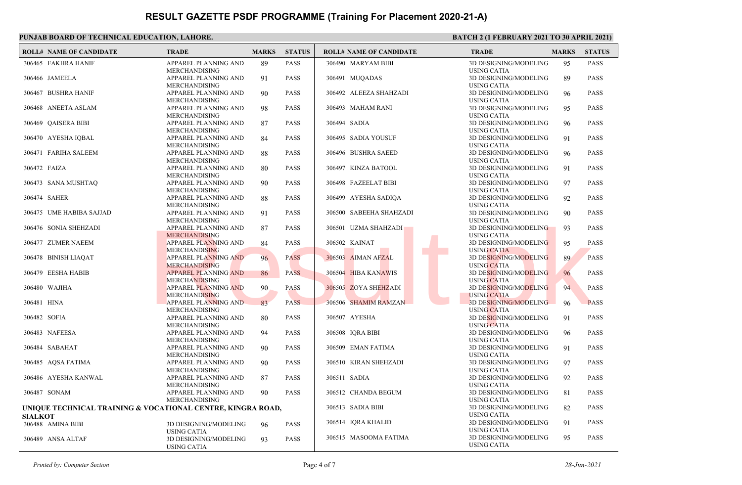|                | <b>ROLL# NAME OF CANDIDATE</b>                              | <b>TRADE</b>                                                      | <b>MARKS</b> | <b>STATUS</b> | <b>ROLL# NAME OF CANDIDATE</b> | <b>TRADE</b>                                       | <b>MARKS</b> | <b>STATUS</b> |
|----------------|-------------------------------------------------------------|-------------------------------------------------------------------|--------------|---------------|--------------------------------|----------------------------------------------------|--------------|---------------|
|                | 306465 FAKHRA HANIF                                         | APPAREL PLANNING AND<br><b>MERCHANDISING</b>                      | 89           | <b>PASS</b>   | 306490 MARYAM BIBI             | 3D DESIGNING/MODELING<br><b>USING CATIA</b>        | 95           | <b>PASS</b>   |
|                | 306466 JAMEELA                                              | APPAREL PLANNING AND<br><b>MERCHANDISING</b>                      | 91           | <b>PASS</b>   | 306491 MUQADAS                 | 3D DESIGNING/MODELING<br><b>USING CATIA</b>        | 89           | <b>PASS</b>   |
|                | 306467 BUSHRA HANIF                                         | APPAREL PLANNING AND<br><b>MERCHANDISING</b>                      | 90           | <b>PASS</b>   | 306492 ALEEZA SHAHZADI         | 3D DESIGNING/MODELING<br><b>USING CATIA</b>        | 96           | <b>PASS</b>   |
|                | 306468 ANEETA ASLAM                                         | APPAREL PLANNING AND<br><b>MERCHANDISING</b>                      | 98           | <b>PASS</b>   | 306493 MAHAM RANI              | 3D DESIGNING/MODELING<br><b>USING CATIA</b>        | 95           | <b>PASS</b>   |
|                | 306469 QAISERA BIBI                                         | APPAREL PLANNING AND<br><b>MERCHANDISING</b>                      | 87           | <b>PASS</b>   | 306494 SADIA                   | 3D DESIGNING/MODELING<br><b>USING CATIA</b>        | 96           | <b>PASS</b>   |
|                | 306470 AYESHA IQBAL                                         | APPAREL PLANNING AND<br><b>MERCHANDISING</b>                      | 84           | <b>PASS</b>   | 306495 SADIA YOUSUF            | 3D DESIGNING/MODELING<br><b>USING CATIA</b>        | 91           | <b>PASS</b>   |
|                | 306471 FARIHA SALEEM                                        | APPAREL PLANNING AND<br><b>MERCHANDISING</b>                      | 88           | <b>PASS</b>   | 306496 BUSHRA SAEED            | 3D DESIGNING/MODELING<br><b>USING CATIA</b>        | 96           | <b>PASS</b>   |
| 306472 FAIZA   |                                                             | APPAREL PLANNING AND<br><b>MERCHANDISING</b>                      | 80           | <b>PASS</b>   | 306497 KINZA BATOOL            | 3D DESIGNING/MODELING<br><b>USING CATIA</b>        | 91           | <b>PASS</b>   |
|                | 306473 SANA MUSHTAQ                                         | APPAREL PLANNING AND<br><b>MERCHANDISING</b>                      | 90           | <b>PASS</b>   | 306498 FAZEELAT BIBI           | 3D DESIGNING/MODELING<br><b>USING CATIA</b>        | 97           | <b>PASS</b>   |
|                | 306474 SAHER                                                | APPAREL PLANNING AND<br><b>MERCHANDISING</b>                      | 88           | <b>PASS</b>   | 306499 AYESHA SADIQA           | 3D DESIGNING/MODELING<br><b>USING CATIA</b>        | 92           | <b>PASS</b>   |
|                | 306475 UME HABIBA SAJJAD                                    | APPAREL PLANNING AND<br><b>MERCHANDISING</b>                      | 91           | <b>PASS</b>   | 306500 SABEEHA SHAHZADI        | 3D DESIGNING/MODELING<br><b>USING CATIA</b>        | 90           | <b>PASS</b>   |
|                | 306476 SONIA SHEHZADI                                       | <b>APPAREL PLANNING AND</b><br><b>MERCHANDISING</b>               | 87           | <b>PASS</b>   | 306501 UZMA SHAHZADI           | <b>3D DESIGNING/MODELING</b><br><b>USING CATIA</b> | 93           | <b>PASS</b>   |
|                | 306477 ZUMER NAEEM                                          | APPAREL PLANNING AND<br><b>MERCHANDISING</b>                      | 84           | <b>PASS</b>   | 306502 KAINAT                  | 3D DESIGNING/MODELING<br><b>USING CATIA</b>        | 95           | <b>PASS</b>   |
|                | 306478 BINISH LIAQAT                                        | APPAREL PLANNING AND<br><b>MERCHANDISING</b>                      | 96           | <b>PASS</b>   | 306503 AIMAN AFZAL             | 3D DESIGNING/MODELING<br><b>USING CATIA</b>        | 89           | <b>PASS</b>   |
|                | 306479 EESHA HABIB                                          | <b>APPAREL PLANNING AND</b><br><b>MERCHANDISING</b>               | 86           | <b>PASS</b>   | 306504 HIBA KANAWIS            | 3D DESIGNING/MODELING<br><b>USING CATIA</b>        | 96           | <b>PASS</b>   |
|                | 306480 WAJIHA                                               | APPAREL PLANNING AND<br><b>MERCHANDISING</b>                      | 90           | <b>PASS</b>   | 306505 ZOYA SHEHZADI           | 3D DESIGNING/MODELING<br><b>USING CATIA</b>        | 94           | <b>PASS</b>   |
| 306481 HINA    |                                                             | APPAREL PLANNING AND<br><b>MERCHANDISING</b>                      | 83           | <b>PASS</b>   | 306506 SHAMIM RAMZAN           | 3D DESIGNING/MODELING<br><b>USING CATIA</b>        | 96           | <b>PASS</b>   |
| 306482 SOFIA   |                                                             | APPAREL PLANNING AND<br><b>MERCHANDISING</b>                      | 80           | <b>PASS</b>   | 306507 AYESHA                  | 3D DESIGNING/MODELING<br><b>USING CATIA</b>        | 91           | <b>PASS</b>   |
|                | 306483 NAFEESA                                              | APPAREL PLANNING AND<br><b>MERCHANDISING</b>                      | 94           | <b>PASS</b>   | 306508 IQRA BIBI               | 3D DESIGNING/MODELING<br><b>USING CATIA</b>        | 96           | <b>PASS</b>   |
|                | 306484 SABAHAT                                              | APPAREL PLANNING AND<br><b>MERCHANDISING</b>                      | 90           | <b>PASS</b>   | 306509 EMAN FATIMA             | 3D DESIGNING/MODELING<br><b>USING CATIA</b>        | 91           | <b>PASS</b>   |
|                | 306485 AQSA FATIMA                                          | APPAREL PLANNING AND<br><b>MERCHANDISING</b>                      | 90           | <b>PASS</b>   | 306510 KIRAN SHEHZADI          | 3D DESIGNING/MODELING<br><b>USING CATIA</b>        | 97           | <b>PASS</b>   |
|                | 306486 AYESHA KANWAL                                        | APPAREL PLANNING AND<br><b>MERCHANDISING</b>                      | 87           | <b>PASS</b>   | 306511 SADIA                   | 3D DESIGNING/MODELING<br><b>USING CATIA</b>        | 92           | <b>PASS</b>   |
|                | 306487 SONAM                                                | APPAREL PLANNING AND<br><b>MERCHANDISING</b>                      | 90           | <b>PASS</b>   | 306512 CHANDA BEGUM            | 3D DESIGNING/MODELING<br><b>USING CATIA</b>        | 81           | <b>PASS</b>   |
|                | UNIQUE TECHNICAL TRAINING & VOCATIONAL CENTRE, KINGRA ROAD, |                                                                   |              |               | 306513 SADIA BIBI              | 3D DESIGNING/MODELING<br><b>USING CATIA</b>        | 82           | <b>PASS</b>   |
| <b>SIALKOT</b> | 306488 AMINA BIBI                                           | 3D DESIGNING/MODELING                                             | 96           | <b>PASS</b>   | 306514 IQRA KHALID             | 3D DESIGNING/MODELING<br><b>USING CATIA</b>        | 91           | <b>PASS</b>   |
|                | 306489 ANSA ALTAF                                           | <b>USING CATIA</b><br>3D DESIGNING/MODELING<br><b>USING CATIA</b> | 93           | <b>PASS</b>   | 306515 MASOOMA FATIMA          | 3D DESIGNING/MODELING<br><b>USING CATIA</b>        | 95           | <b>PASS</b>   |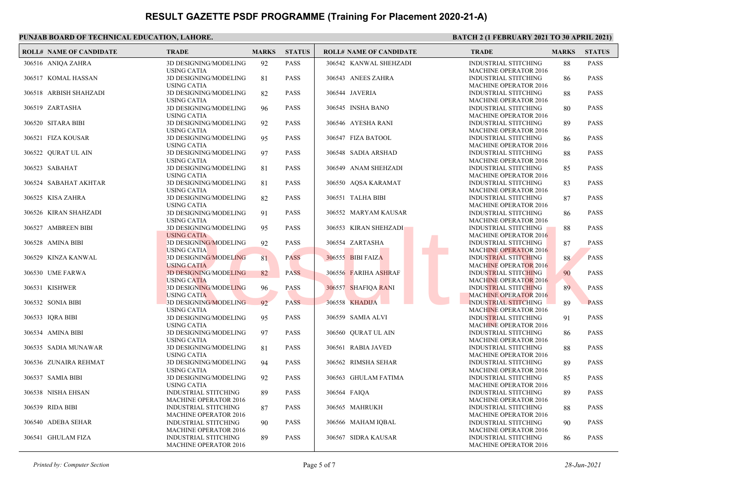| <b>ROLL# NAME OF CANDIDATE</b> | <b>TRADE</b>                                                | <b>MARKS</b> | <b>STATUS</b> | <b>ROLL# NAME OF CANDIDATE</b> | <b>TRADE</b>                                                | <b>MARKS</b> | <b>STATUS</b> |
|--------------------------------|-------------------------------------------------------------|--------------|---------------|--------------------------------|-------------------------------------------------------------|--------------|---------------|
| 306516 ANIQA ZAHRA             | 3D DESIGNING/MODELING<br><b>USING CATIA</b>                 | 92           | <b>PASS</b>   | 306542 KANWAL SHEHZADI         | <b>INDUSTRIAL STITCHING</b><br><b>MACHINE OPERATOR 2016</b> | 88           | <b>PASS</b>   |
| 306517 KOMAL HASSAN            | 3D DESIGNING/MODELING<br><b>USING CATIA</b>                 | 81           | <b>PASS</b>   | 306543 ANEES ZAHRA             | <b>INDUSTRIAL STITCHING</b><br><b>MACHINE OPERATOR 2016</b> | 86           | <b>PASS</b>   |
| 306518 ARBISH SHAHZADI         | 3D DESIGNING/MODELING<br><b>USING CATIA</b>                 | 82           | <b>PASS</b>   | 306544 JAVERIA                 | <b>INDUSTRIAL STITCHING</b><br><b>MACHINE OPERATOR 2016</b> | 88           | <b>PASS</b>   |
| 306519 ZARTASHA                | 3D DESIGNING/MODELING<br><b>USING CATIA</b>                 | 96           | <b>PASS</b>   | 306545 INSHA BANO              | <b>INDUSTRIAL STITCHING</b><br><b>MACHINE OPERATOR 2016</b> | 80           | <b>PASS</b>   |
| 306520 SITARA BIBI             | 3D DESIGNING/MODELING<br><b>USING CATIA</b>                 | 92           | <b>PASS</b>   | 306546 AYESHA RANI             | <b>INDUSTRIAL STITCHING</b><br><b>MACHINE OPERATOR 2016</b> | 89           | <b>PASS</b>   |
| 306521 FIZA KOUSAR             | 3D DESIGNING/MODELING<br><b>USING CATIA</b>                 | 95           | <b>PASS</b>   | 306547 FIZA BATOOL             | INDUSTRIAL STITCHING<br><b>MACHINE OPERATOR 2016</b>        | 86           | <b>PASS</b>   |
| 306522 QURAT UL AIN            | 3D DESIGNING/MODELING<br><b>USING CATIA</b>                 | 97           | <b>PASS</b>   | 306548 SADIA ARSHAD            | <b>INDUSTRIAL STITCHING</b><br><b>MACHINE OPERATOR 2016</b> | 88           | <b>PASS</b>   |
| 306523 SABAHAT                 | 3D DESIGNING/MODELING<br><b>USING CATIA</b>                 | 81           | <b>PASS</b>   | 306549 ANAM SHEHZADI           | <b>INDUSTRIAL STITCHING</b><br><b>MACHINE OPERATOR 2016</b> | 85           | <b>PASS</b>   |
| 306524 SABAHAT AKHTAR          | 3D DESIGNING/MODELING<br><b>USING CATIA</b>                 | 81           | <b>PASS</b>   | 306550 AQSA KARAMAT            | <b>INDUSTRIAL STITCHING</b><br><b>MACHINE OPERATOR 2016</b> | 83           | <b>PASS</b>   |
| 306525 KISA ZAHRA              | 3D DESIGNING/MODELING<br><b>USING CATIA</b>                 | 82           | <b>PASS</b>   | 306551 TALHA BIBI              | <b>INDUSTRIAL STITCHING</b><br><b>MACHINE OPERATOR 2016</b> | 87           | <b>PASS</b>   |
| 306526 KIRAN SHAHZADI          | 3D DESIGNING/MODELING<br><b>USING CATIA</b>                 | 91           | <b>PASS</b>   | 306552 MARYAM KAUSAR           | <b>INDUSTRIAL STITCHING</b><br><b>MACHINE OPERATOR 2016</b> | 86           | <b>PASS</b>   |
| 306527 AMBREEN BIBI            | <b>3D DESIGNING/MODELING</b><br><b>USING CATIA</b>          | 95           | <b>PASS</b>   | 306553 KIRAN SHEHZADI          | INDUSTRIAL STITCHING<br><b>MACHINE OPERATOR 2016</b>        | 88           | <b>PASS</b>   |
| 306528 AMINA BIBI              | 3D DESIGNING/MODELING<br><b>USING CATIA</b>                 | 92           | <b>PASS</b>   | 306554 ZARTASHA                | <b>INDUSTRIAL STITCHING</b><br><b>MACHINE OPERATOR 2016</b> | 87           | <b>PASS</b>   |
| 306529 KINZA KANWAL            | 3D DESIGNING/MODELING<br><b>USING CATIA</b>                 | 81           | <b>PASS</b>   | 306555 BIBI FAIZA              | <b>INDUSTRIAL STITCHING</b><br><b>MACHINE OPERATOR 2016</b> | 88           | <b>PASS</b>   |
| 306530 UME FARWA               | <b>3D DESIGNING/MODELING</b><br><b>USING CATIA</b>          | 82           | <b>PASS</b>   | 306556 FARIHA ASHRAF           | <b>INDUSTRIAL STITCHING</b><br><b>MACHINE OPERATOR 2016</b> | 90           | <b>PASS</b>   |
| 306531 KISHWER                 | 3D DESIGNING/MODELING<br><b>USING CATIA</b>                 | 96           | <b>PASS</b>   | 306557 SHAFIQA RANI            | <b>INDUSTRIAL STITCHING</b><br><b>MACHINE OPERATOR 2016</b> | 89           | <b>PASS</b>   |
| 306532 SONIA BIBI              | 3D DESIGNING/MODELING<br><b>USING CATIA</b>                 | 92           | <b>PASS</b>   | 306558 KHADIJA                 | <b>INDUSTRIAL STITCHING</b><br><b>MACHINE OPERATOR 2016</b> | 89           | <b>PASS</b>   |
| 306533 IQRA BIBI               | 3D DESIGNING/MODELING<br><b>USING CATIA</b>                 | 95           | <b>PASS</b>   | 306559 SAMIA ALVI              | <b>INDUSTRIAL STITCHING</b><br><b>MACHINE OPERATOR 2016</b> | 91           | <b>PASS</b>   |
| 306534 AMINA BIBI              | 3D DESIGNING/MODELING<br><b>USING CATIA</b>                 | 97           | <b>PASS</b>   | 306560 OURAT UL AIN            | <b>INDUSTRIAL STITCHING</b><br><b>MACHINE OPERATOR 2016</b> | 86           | <b>PASS</b>   |
| 306535 SADIA MUNAWAR           | 3D DESIGNING/MODELING<br><b>USING CATIA</b>                 | 81           | <b>PASS</b>   | 306561 RABIA JAVED             | <b>INDUSTRIAL STITCHING</b><br><b>MACHINE OPERATOR 2016</b> | 88           | <b>PASS</b>   |
| 306536 ZUNAIRA REHMAT          | 3D DESIGNING/MODELING<br><b>USING CATIA</b>                 | 94           | <b>PASS</b>   | 306562 RIMSHA SEHAR            | <b>INDUSTRIAL STITCHING</b><br><b>MACHINE OPERATOR 2016</b> | 89           | <b>PASS</b>   |
| 306537 SAMIA BIBI              | 3D DESIGNING/MODELING<br><b>USING CATIA</b>                 | 92           | <b>PASS</b>   | 306563 GHULAM FATIMA           | <b>INDUSTRIAL STITCHING</b><br><b>MACHINE OPERATOR 2016</b> | 85           | <b>PASS</b>   |
| 306538 NISHA EHSAN             | INDUSTRIAL STITCHING<br><b>MACHINE OPERATOR 2016</b>        | 89           | <b>PASS</b>   | 306564 FAIQA                   | INDUSTRIAL STITCHING<br><b>MACHINE OPERATOR 2016</b>        | 89           | <b>PASS</b>   |
| 306539 RIDA BIBI               | <b>INDUSTRIAL STITCHING</b><br><b>MACHINE OPERATOR 2016</b> | 87           | <b>PASS</b>   | 306565 MAHRUKH                 | <b>INDUSTRIAL STITCHING</b><br><b>MACHINE OPERATOR 2016</b> | 88           | <b>PASS</b>   |
| 306540 ADEBA SEHAR             | <b>INDUSTRIAL STITCHING</b><br><b>MACHINE OPERATOR 2016</b> | 90           | <b>PASS</b>   | 306566 MAHAM IQBAL             | <b>INDUSTRIAL STITCHING</b><br><b>MACHINE OPERATOR 2016</b> | 90           | <b>PASS</b>   |
| 306541 GHULAM FIZA             | <b>INDUSTRIAL STITCHING</b><br><b>MACHINE OPERATOR 2016</b> | 89           | <b>PASS</b>   | 306567 SIDRA KAUSAR            | <b>INDUSTRIAL STITCHING</b><br><b>MACHINE OPERATOR 2016</b> | 86           | <b>PASS</b>   |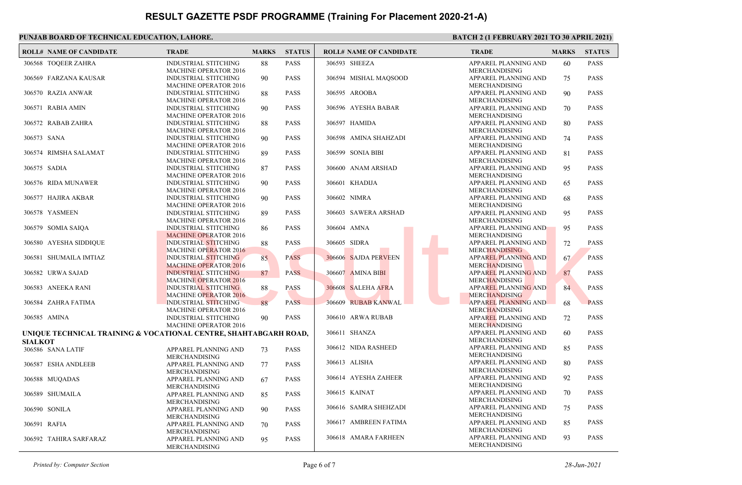| <b>ROLL# NAME OF CANDIDATE</b>                                                     | <b>TRADE</b>                                                  | <b>MARKS</b> | <b>STATUS</b> | <b>ROLL# NAME OF CANDIDATE</b> | <b>TRADE</b>                                        | <b>MARKS</b> | <b>STATUS</b> |
|------------------------------------------------------------------------------------|---------------------------------------------------------------|--------------|---------------|--------------------------------|-----------------------------------------------------|--------------|---------------|
| 306568 TOOEER ZAHRA                                                                | <b>INDUSTRIAL STITCHING</b><br><b>MACHINE OPERATOR 2016</b>   | 88           | <b>PASS</b>   | 306593 SHEEZA                  | APPAREL PLANNING AND<br><b>MERCHANDISING</b>        | 60           | <b>PASS</b>   |
| 306569 FARZANA KAUSAR                                                              | <b>INDUSTRIAL STITCHING</b><br><b>MACHINE OPERATOR 2016</b>   | 90           | <b>PASS</b>   | 306594 MISHAL MAOSOOD          | APPAREL PLANNING AND<br><b>MERCHANDISING</b>        | 75           | <b>PASS</b>   |
| 306570 RAZIA ANWAR                                                                 | <b>INDUSTRIAL STITCHING</b><br><b>MACHINE OPERATOR 2016</b>   | 88           | <b>PASS</b>   | 306595 AROOBA                  | APPAREL PLANNING AND<br><b>MERCHANDISING</b>        | 90           | <b>PASS</b>   |
| 306571 RABIA AMIN                                                                  | <b>INDUSTRIAL STITCHING</b><br><b>MACHINE OPERATOR 2016</b>   | 90           | <b>PASS</b>   | 306596 AYESHA BABAR            | APPAREL PLANNING AND<br><b>MERCHANDISING</b>        | 70           | <b>PASS</b>   |
| 306572 RABAB ZAHRA                                                                 | <b>INDUSTRIAL STITCHING</b><br><b>MACHINE OPERATOR 2016</b>   | 88           | <b>PASS</b>   | 306597 HAMIDA                  | APPAREL PLANNING AND<br><b>MERCHANDISING</b>        | 80           | <b>PASS</b>   |
| 306573 SANA                                                                        | <b>INDUSTRIAL STITCHING</b><br><b>MACHINE OPERATOR 2016</b>   | 90           | <b>PASS</b>   | 306598 AMINA SHAHZADI          | APPAREL PLANNING AND<br><b>MERCHANDISING</b>        | 74           | <b>PASS</b>   |
| 306574 RIMSHA SALAMAT                                                              | <b>INDUSTRIAL STITCHING</b><br><b>MACHINE OPERATOR 2016</b>   | 89           | <b>PASS</b>   | 306599 SONIA BIBI              | APPAREL PLANNING AND<br>MERCHANDISING               | 81           | <b>PASS</b>   |
| 306575 SADIA                                                                       | <b>INDUSTRIAL STITCHING</b><br><b>MACHINE OPERATOR 2016</b>   | 87           | <b>PASS</b>   | 306600 ANAM ARSHAD             | APPAREL PLANNING AND<br><b>MERCHANDISING</b>        | 95           | <b>PASS</b>   |
| 306576 RIDA MUNAWER                                                                | <b>INDUSTRIAL STITCHING</b><br><b>MACHINE OPERATOR 2016</b>   | 90           | <b>PASS</b>   | 306601 KHADIJA                 | APPAREL PLANNING AND<br><b>MERCHANDISING</b>        | 65           | <b>PASS</b>   |
| 306577 HAJIRA AKBAR                                                                | <b>INDUSTRIAL STITCHING</b><br><b>MACHINE OPERATOR 2016</b>   | 90           | <b>PASS</b>   | 306602 NIMRA                   | APPAREL PLANNING AND<br><b>MERCHANDISING</b>        | 68           | <b>PASS</b>   |
| 306578 YASMEEN                                                                     | <b>INDUSTRIAL STITCHING</b><br><b>MACHINE OPERATOR 2016</b>   | 89           | <b>PASS</b>   | 306603 SAWERA ARSHAD           | APPAREL PLANNING AND<br><b>MERCHANDISING</b>        | 95           | <b>PASS</b>   |
| 306579 SOMIA SAIQA                                                                 | <b>INDUSTRIAL STITCHING</b><br><b>MACHINE OPERATOR 2016</b>   | 86           | <b>PASS</b>   | 306604 AMNA                    | APPAREL PLANNING AND<br><b>MERCHANDISING</b>        | 95           | <b>PASS</b>   |
| 306580 AYESHA SIDDIOUE                                                             | <b>INDUSTRIAL STITCHING</b><br><b>MACHINE OPERATOR 2016</b>   | 88           | <b>PASS</b>   | 306605 SIDRA                   | APPAREL PLANNING AND<br><b>MERCHANDISING</b>        | 72           | <b>PASS</b>   |
| 306581 SHUMAILA IMTIAZ                                                             | <b>INDUSTRIAL STITCHING</b><br><b>MACHINE OPERATOR 2016</b>   | 85           | <b>PASS</b>   | 306606 SAJDA PERVEEN           | <b>APPAREL PLANNING AND</b><br><b>MERCHANDISING</b> | 67           | <b>PASS</b>   |
| 306582 URWA SAJAD                                                                  | <b>INDUSTRIAL STITCHING</b><br><b>MACHINE OPERATOR 2016</b>   | 87           | <b>PASS</b>   | 306607 AMINA BIBI              | APPAREL PLANNING AND<br><b>MERCHANDISING</b>        | 87           | <b>PASS</b>   |
| 306583 ANEEKA RANI                                                                 | INDUSTRIAL STITCHING<br><b>MACHINE OPERATOR 2016</b>          | 88           | <b>PASS</b>   | 306608 SALEHA AFRA             | <b>APPAREL PLANNING AND</b><br><b>MERCHANDISING</b> | 84           | <b>PASS</b>   |
| 306584 ZAHRA FATIMA                                                                | INDUSTRIAL STITCHING<br><b>MACHINE OPERATOR 2016</b>          | 88           | <b>PASS</b>   | 306609 RUBAB KANWAL            | APPAREL PLANNING AND<br><b>MERCHANDISING</b>        | 68           | <b>PASS</b>   |
| 306585 AMINA                                                                       | <b>INDUSTRIAL STITCHING</b><br><b>MACHINE OPERATOR 2016</b>   | 90           | <b>PASS</b>   | 306610 ARWA RUBAB              | APPAREL PLANNING AND<br><b>MERCHANDISING</b>        | 72           | <b>PASS</b>   |
| UNIQUE TECHNICAL TRAINING & VOCATIONAL CENTRE, SHAHTABGARH ROAD,<br><b>SIALKOT</b> |                                                               |              |               | 306611 SHANZA                  | APPAREL PLANNING AND<br><b>MERCHANDISING</b>        | 60           | <b>PASS</b>   |
| 306586 SANA LATIF                                                                  | APPAREL PLANNING AND                                          | 73           | <b>PASS</b>   | 306612 NIDA RASHEED            | APPAREL PLANNING AND<br><b>MERCHANDISING</b>        | 85           | <b>PASS</b>   |
| 306587 ESHA ANDLEEB                                                                | <b>MERCHANDISING</b><br>APPAREL PLANNING AND                  | 77           | <b>PASS</b>   | 306613 ALISHA                  | APPAREL PLANNING AND<br>MERCHANDISING               | 80           | <b>PASS</b>   |
| 306588 MUQADAS                                                                     | MERCHANDISING<br>APPAREL PLANNING AND                         | 67           | <b>PASS</b>   | 306614 AYESHA ZAHEER           | APPAREL PLANNING AND<br><b>MERCHANDISING</b>        | 92           | <b>PASS</b>   |
| 306589 SHUMAILA                                                                    | <b>MERCHANDISING</b><br>APPAREL PLANNING AND                  | 85           | <b>PASS</b>   | 306615 KAINAT                  | APPAREL PLANNING AND<br>MERCHANDISING               | 70           | <b>PASS</b>   |
| 306590 SONILA                                                                      | <b>MERCHANDISING</b><br>APPAREL PLANNING AND                  | 90           | <b>PASS</b>   | 306616 SAMRA SHEHZADI          | APPAREL PLANNING AND<br><b>MERCHANDISING</b>        | 75           | <b>PASS</b>   |
| 306591 RAFIA                                                                       | <b>MERCHANDISING</b><br>APPAREL PLANNING AND                  | 70           | <b>PASS</b>   | 306617 AMBREEN FATIMA          | APPAREL PLANNING AND<br><b>MERCHANDISING</b>        | 85           | <b>PASS</b>   |
| 306592 TAHIRA SARFARAZ                                                             | MERCHANDISING<br>APPAREL PLANNING AND<br><b>MERCHANDISING</b> | 95           | <b>PASS</b>   | 306618 AMARA FARHEEN           | APPAREL PLANNING AND<br><b>MERCHANDISING</b>        | 93           | <b>PASS</b>   |